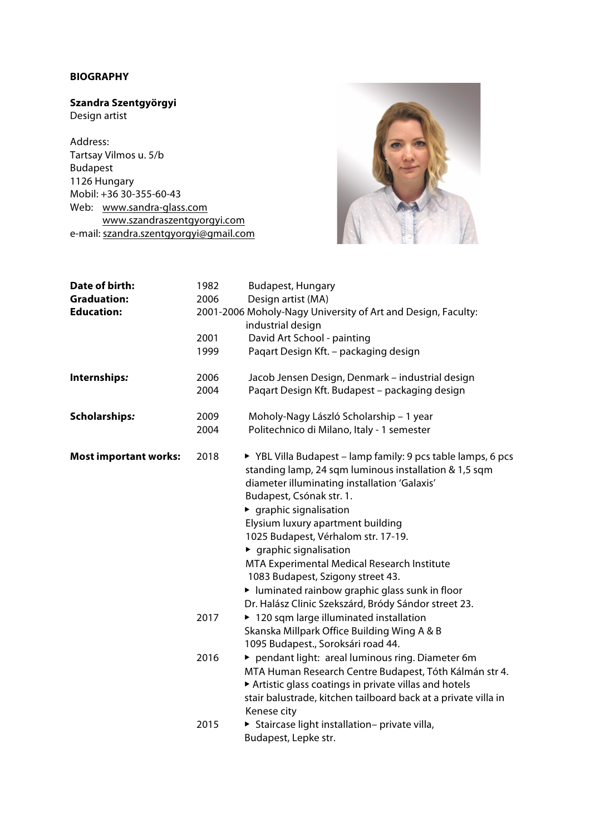## **BIOGRAPHY**

## **Szandra Szentgyörgyi**

Design artist

Address: Tartsay Vilmos u. 5/b Budapest 1126 Hungary Mobil: +36 30-355-60-43 Web: www.sandra-glass.com www.szandraszentgyorgyi.com e-mail: szandra.szentgyorgyi@gmail.com



| Date of birth:               | 1982 | <b>Budapest, Hungary</b>                                                                                                                                                                          |
|------------------------------|------|---------------------------------------------------------------------------------------------------------------------------------------------------------------------------------------------------|
| <b>Graduation:</b>           | 2006 | Design artist (MA)                                                                                                                                                                                |
| <b>Education:</b>            |      | 2001-2006 Moholy-Nagy University of Art and Design, Faculty:<br>industrial design                                                                                                                 |
|                              | 2001 | David Art School - painting                                                                                                                                                                       |
|                              | 1999 | Pagart Design Kft. - packaging design                                                                                                                                                             |
| Internships:                 | 2006 | Jacob Jensen Design, Denmark - industrial design                                                                                                                                                  |
|                              | 2004 | Pagart Design Kft. Budapest - packaging design                                                                                                                                                    |
| <b>Scholarships:</b>         | 2009 | Moholy-Nagy László Scholarship - 1 year                                                                                                                                                           |
|                              | 2004 | Politechnico di Milano, Italy - 1 semester                                                                                                                                                        |
| <b>Most important works:</b> | 2018 | ▶ YBL Villa Budapest - lamp family: 9 pcs table lamps, 6 pcs<br>standing lamp, 24 sqm luminous installation & 1,5 sqm<br>diameter illuminating installation 'Galaxis'<br>Budapest, Csónak str. 1. |
|                              |      | $\blacktriangleright$ graphic signalisation                                                                                                                                                       |
|                              |      | Elysium luxury apartment building                                                                                                                                                                 |
|                              |      | 1025 Budapest, Vérhalom str. 17-19.                                                                                                                                                               |
|                              |      | $\blacktriangleright$ graphic signalisation                                                                                                                                                       |
|                              |      | MTA Experimental Medical Research Institute                                                                                                                                                       |
|                              |      | 1083 Budapest, Szigony street 43.                                                                                                                                                                 |
|                              |      | I luminated rainbow graphic glass sunk in floor                                                                                                                                                   |
|                              |      | Dr. Halász Clinic Szekszárd, Bródy Sándor street 23.                                                                                                                                              |
|                              | 2017 | ▶ 120 sqm large illuminated installation                                                                                                                                                          |
|                              |      | Skanska Millpark Office Building Wing A & B                                                                                                                                                       |
|                              |      | 1095 Budapest., Soroksári road 44.                                                                                                                                                                |
|                              | 2016 | pendant light: areal luminous ring. Diameter 6m                                                                                                                                                   |
|                              |      | MTA Human Research Centre Budapest, Tóth Kálmán str 4.<br>Artistic glass coatings in private villas and hotels                                                                                    |
|                              |      | stair balustrade, kitchen tailboard back at a private villa in                                                                                                                                    |
|                              |      | Kenese city                                                                                                                                                                                       |
|                              | 2015 | > Staircase light installation- private villa,                                                                                                                                                    |
|                              |      | Budapest, Lepke str.                                                                                                                                                                              |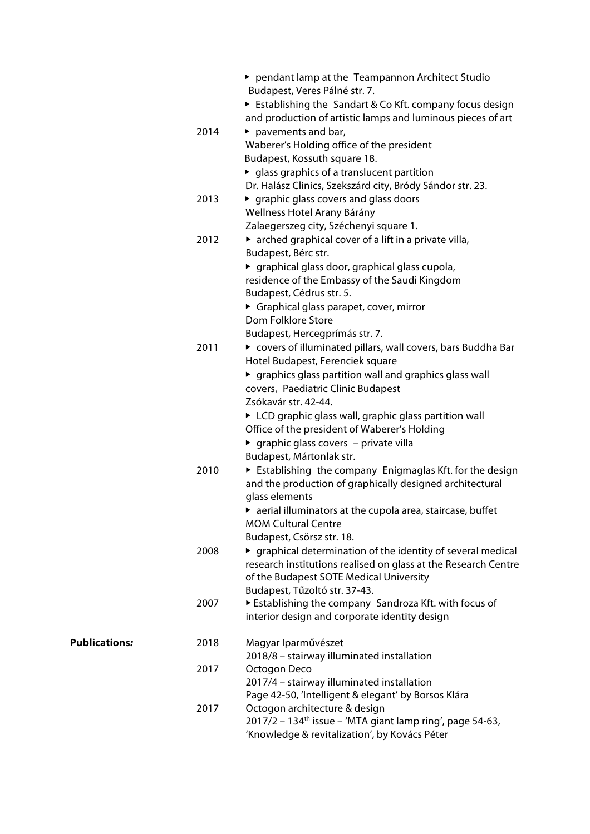|                      |      | ▶ pendant lamp at the Teampannon Architect Studio<br>Budapest, Veres Pálné str. 7.                                     |
|----------------------|------|------------------------------------------------------------------------------------------------------------------------|
|                      |      | Establishing the Sandart & Co Kft. company focus design<br>and production of artistic lamps and luminous pieces of art |
|                      | 2014 | $\blacktriangleright$ pavements and bar,                                                                               |
|                      |      | Waberer's Holding office of the president                                                                              |
|                      |      | Budapest, Kossuth square 18.                                                                                           |
|                      |      | ▶ glass graphics of a translucent partition                                                                            |
|                      |      | Dr. Halász Clinics, Szekszárd city, Bródy Sándor str. 23.                                                              |
|                      | 2013 | • graphic glass covers and glass doors                                                                                 |
|                      |      | Wellness Hotel Arany Bárány                                                                                            |
|                      |      | Zalaegerszeg city, Széchenyi square 1.                                                                                 |
|                      | 2012 | $\triangleright$ arched graphical cover of a lift in a private villa,                                                  |
|                      |      | Budapest, Bérc str.                                                                                                    |
|                      |      | ▶ graphical glass door, graphical glass cupola,                                                                        |
|                      |      | residence of the Embassy of the Saudi Kingdom                                                                          |
|                      |      | Budapest, Cédrus str. 5.                                                                                               |
|                      |      | Graphical glass parapet, cover, mirror                                                                                 |
|                      |      | Dom Folklore Store                                                                                                     |
|                      |      | Budapest, Hercegprímás str. 7.                                                                                         |
|                      | 2011 | ► covers of illuminated pillars, wall covers, bars Buddha Bar                                                          |
|                      |      | Hotel Budapest, Ferenciek square                                                                                       |
|                      |      | • graphics glass partition wall and graphics glass wall                                                                |
|                      |      | covers, Paediatric Clinic Budapest                                                                                     |
|                      |      | Zsókavár str. 42-44.                                                                                                   |
|                      |      | ► LCD graphic glass wall, graphic glass partition wall                                                                 |
|                      |      | Office of the president of Waberer's Holding                                                                           |
|                      |      | ► graphic glass covers - private villa                                                                                 |
|                      |      | Budapest, Mártonlak str.                                                                                               |
|                      | 2010 | $\triangleright$ Establishing the company Enigmaglas Kft. for the design                                               |
|                      |      | and the production of graphically designed architectural                                                               |
|                      |      | glass elements                                                                                                         |
|                      |      | aerial illuminators at the cupola area, staircase, buffet                                                              |
|                      |      | <b>MOM Cultural Centre</b>                                                                                             |
|                      |      | Budapest, Csörsz str. 18.                                                                                              |
|                      | 2008 | ▶ graphical determination of the identity of several medical                                                           |
|                      |      | research institutions realised on glass at the Research Centre                                                         |
|                      |      | of the Budapest SOTE Medical University                                                                                |
|                      |      | Budapest, Tűzoltó str. 37-43.                                                                                          |
|                      | 2007 | Establishing the company Sandroza Kft. with focus of                                                                   |
|                      |      | interior design and corporate identity design                                                                          |
| <b>Publications:</b> | 2018 | Magyar Iparművészet                                                                                                    |
|                      |      | 2018/8 - stairway illuminated installation                                                                             |
|                      | 2017 | Octogon Deco                                                                                                           |
|                      |      | 2017/4 - stairway illuminated installation                                                                             |
|                      |      | Page 42-50, 'Intelligent & elegant' by Borsos Klára                                                                    |
|                      | 2017 | Octogon architecture & design<br>$2017/2 - 134$ <sup>th</sup> issue - 'MTA giant lamp ring', page 54-63,               |
|                      |      | 'Knowledge & revitalization', by Kovács Péter                                                                          |
|                      |      |                                                                                                                        |